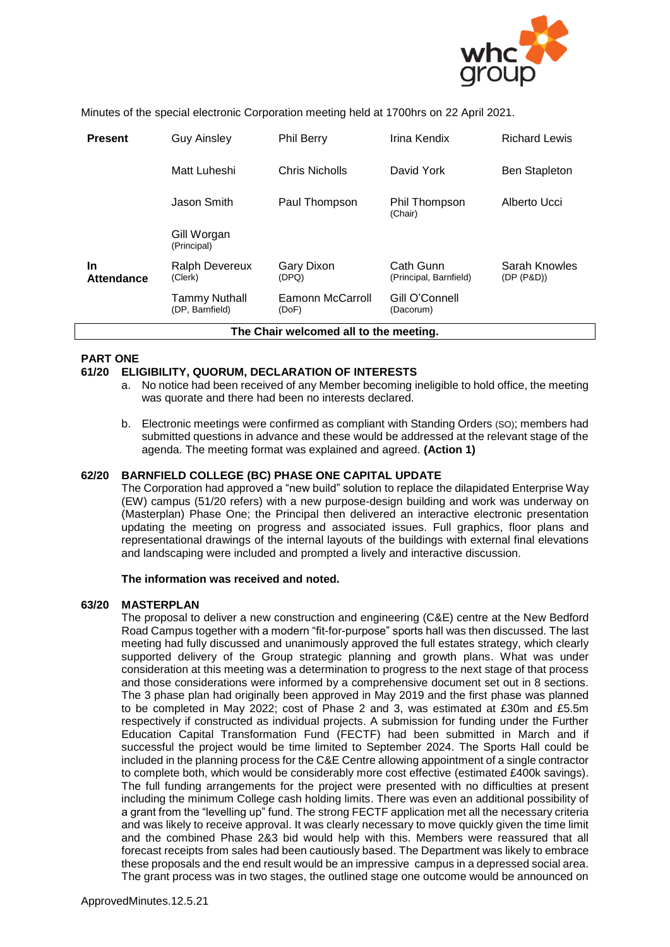

Minutes of the special electronic Corporation meeting held at 1700hrs on 22 April 2021.

| <b>Present</b>                         | <b>Guy Ainsley</b>                      | <b>Phil Berry</b>         | Irina Kendix                        | <b>Richard Lewis</b>        |  |  |
|----------------------------------------|-----------------------------------------|---------------------------|-------------------------------------|-----------------------------|--|--|
|                                        | Matt Luheshi                            | Chris Nicholls            | David York                          | <b>Ben Stapleton</b>        |  |  |
|                                        | Jason Smith                             | Paul Thompson             | Phil Thompson<br>(Chair)            | Alberto Ucci                |  |  |
|                                        | Gill Worgan<br>(Principal)              |                           |                                     |                             |  |  |
| <b>In</b><br><b>Attendance</b>         | <b>Ralph Devereux</b><br>(Clerk)        | Gary Dixon<br>(DPQ)       | Cath Gunn<br>(Principal, Barnfield) | Sarah Knowles<br>(DP (P&D)) |  |  |
|                                        | <b>Tammy Nuthall</b><br>(DP, Barnfield) | Eamonn McCarroll<br>(DoF) | Gill O'Connell<br>(Dacorum)         |                             |  |  |
| The Chair welcomed all to the meeting. |                                         |                           |                                     |                             |  |  |

# **PART ONE**

# **61/20 ELIGIBILITY, QUORUM, DECLARATION OF INTERESTS**

- a. No notice had been received of any Member becoming ineligible to hold office, the meeting was quorate and there had been no interests declared.
- b. Electronic meetings were confirmed as compliant with Standing Orders (SO); members had submitted questions in advance and these would be addressed at the relevant stage of the agenda. The meeting format was explained and agreed. **(Action 1)**

# **62/20 BARNFIELD COLLEGE (BC) PHASE ONE CAPITAL UPDATE**

The Corporation had approved a "new build" solution to replace the dilapidated Enterprise Way (EW) campus (51/20 refers) with a new purpose-design building and work was underway on (Masterplan) Phase One; the Principal then delivered an interactive electronic presentation updating the meeting on progress and associated issues. Full graphics, floor plans and representational drawings of the internal layouts of the buildings with external final elevations and landscaping were included and prompted a lively and interactive discussion.

# **The information was received and noted.**

# **63/20 MASTERPLAN**

The proposal to deliver a new construction and engineering (C&E) centre at the New Bedford Road Campus together with a modern "fit-for-purpose" sports hall was then discussed. The last meeting had fully discussed and unanimously approved the full estates strategy, which clearly supported delivery of the Group strategic planning and growth plans. What was under consideration at this meeting was a determination to progress to the next stage of that process and those considerations were informed by a comprehensive document set out in 8 sections. The 3 phase plan had originally been approved in May 2019 and the first phase was planned to be completed in May 2022; cost of Phase 2 and 3, was estimated at £30m and £5.5m respectively if constructed as individual projects. A submission for funding under the Further Education Capital Transformation Fund (FECTF) had been submitted in March and if successful the project would be time limited to September 2024. The Sports Hall could be included in the planning process for the C&E Centre allowing appointment of a single contractor to complete both, which would be considerably more cost effective (estimated £400k savings). The full funding arrangements for the project were presented with no difficulties at present including the minimum College cash holding limits. There was even an additional possibility of a grant from the "levelling up" fund. The strong FECTF application met all the necessary criteria and was likely to receive approval. It was clearly necessary to move quickly given the time limit and the combined Phase 2&3 bid would help with this. Members were reassured that all forecast receipts from sales had been cautiously based. The Department was likely to embrace these proposals and the end result would be an impressive campus in a depressed social area. The grant process was in two stages, the outlined stage one outcome would be announced on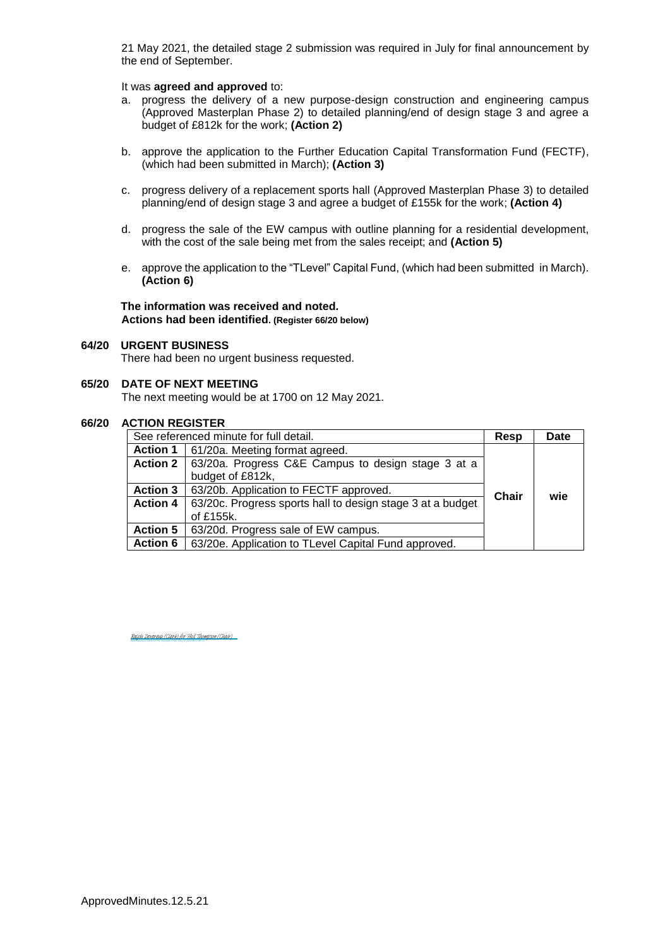21 May 2021, the detailed stage 2 submission was required in July for final announcement by the end of September.

#### It was **agreed and approved** to:

- a. progress the delivery of a new purpose-design construction and engineering campus (Approved Masterplan Phase 2) to detailed planning/end of design stage 3 and agree a budget of £812k for the work; **(Action 2)**
- b. approve the application to the Further Education Capital Transformation Fund (FECTF), (which had been submitted in March); **(Action 3)**
- c. progress delivery of a replacement sports hall (Approved Masterplan Phase 3) to detailed planning/end of design stage 3 and agree a budget of £155k for the work; **(Action 4)**
- d. progress the sale of the EW campus with outline planning for a residential development, with the cost of the sale being met from the sales receipt; and **(Action 5)**
- e. approve the application to the "TLevel" Capital Fund, (which had been submitted in March). **(Action 6)**

#### **The information was received and noted***.* **Actions had been identified. (Register 66/20 below)**

#### **64/20 URGENT BUSINESS**

There had been no urgent business requested.

#### **65/20 DATE OF NEXT MEETING**

The next meeting would be at 1700 on 12 May 2021.

# **66/20 ACTION REGISTER**

| See referenced minute for full detail. |                                                            | Resp  | Date |
|----------------------------------------|------------------------------------------------------------|-------|------|
| <b>Action 1</b>                        | 61/20a. Meeting format agreed.                             |       |      |
| <b>Action 2</b>                        | 63/20a. Progress C&E Campus to design stage 3 at a         |       |      |
|                                        | budget of £812k,                                           |       |      |
| <b>Action 3</b>                        | 63/20b. Application to FECTF approved.                     | Chair | wie  |
| <b>Action 4</b>                        | 63/20c. Progress sports hall to design stage 3 at a budget |       |      |
|                                        | of £155k.                                                  |       |      |
| <b>Action 5</b>                        | 63/20d. Progress sale of EW campus.                        |       |      |
| <b>Action 6</b>                        | 63/20e. Application to TLevel Capital Fund approved.       |       |      |

Ralph Devereux (Clerk) for Phil Thompson (Chair) (May 17, 2021 08:03 GMT+1) [Ralph Devereux \(Clerk\) for Phil Thompson \(Chair\)](https://eu1.documents.adobe.com/verifier?tx=CBJCHBCAABAAFy5MLf1DLCr9WxNNUBp-IIOgtjlbnKg5)